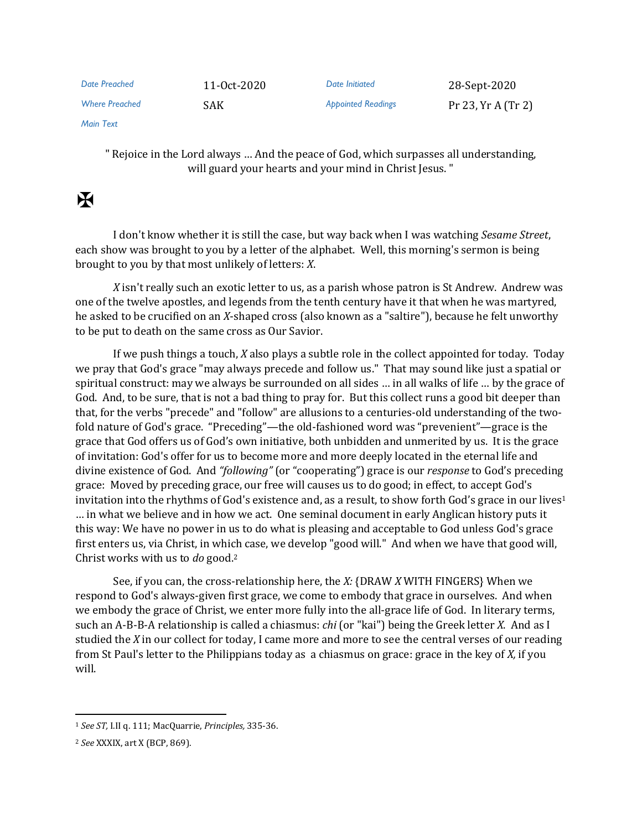| Date Preached         | 11-Oct-2020 | Date Initiated            | 28-Sept-2020         |
|-----------------------|-------------|---------------------------|----------------------|
| <b>Where Preached</b> | <b>SAK</b>  | <b>Appointed Readings</b> | Pr 23, $Yr A (Tr 2)$ |

*Main Text*

" Rejoice in the Lord always … And the peace of God, which surpasses all understanding, will guard your hearts and your mind in Christ Jesus. "

## $\overline{\mathbf{X}}$

I don't know whether it is still the case, but way back when I was watching *Sesame Street*, each show was brought to you by a letter of the alphabet. Well, this morning's sermon is being brought to you by that most unlikely of letters: *X*.

*X* isn't really such an exotic letter to us, as a parish whose patron is St Andrew. Andrew was one of the twelve apostles, and legends from the tenth century have it that when he was martyred, he asked to be crucified on an *X*-shaped cross (also known as a "saltire"), because he felt unworthy to be put to death on the same cross as Our Savior.

If we push things a touch, *X* also plays a subtle role in the collect appointed for today. Today we pray that God's grace "may always precede and follow us." That may sound like just a spatial or spiritual construct: may we always be surrounded on all sides … in all walks of life … by the grace of God. And, to be sure, that is not a bad thing to pray for. But this collect runs a good bit deeper than that, for the verbs "precede" and "follow" are allusions to a centuries-old understanding of the twofold nature of God's grace. "Preceding"—the old-fashioned word was "prevenient"—grace is the grace that God offers us of God's own initiative, both unbidden and unmerited by us. It is the grace of invitation: God's offer for us to become more and more deeply located in the eternal life and divine existence of God. And *"following"* (or "cooperating") grace is our *response* to God's preceding grace: Moved by preceding grace, our free will causes us to do good; in effect, to accept God's invitation into the rhythms of God's existence and, as a result, to show forth God's grace in our lives<sup>1</sup> … in what we believe and in how we act. One seminal document in early Anglican history puts it this way: We have no power in us to do what is pleasing and acceptable to God unless God's grace first enters us, via Christ, in which case, we develop "good will." And when we have that good will, Christ works with us to *do* good.<sup>2</sup>

See, if you can, the cross-relationship here, the *X:* {DRAW *X* WITH FINGERS} When we respond to God's always-given first grace, we come to embody that grace in ourselves. And when we embody the grace of Christ, we enter more fully into the all-grace life of God. In literary terms, such an A-B-B-A relationship is called a chiasmus: *chi* (or "kai") being the Greek letter *X*. And as I studied the *X* in our collect for today, I came more and more to see the central verses of our reading from St Paul's letter to the Philippians today as a chiasmus on grace: grace in the key of *X,* if you will.

<sup>1</sup> *See ST,* I.II q. 111; MacQuarrie, *Principles,* 335-36.

<sup>2</sup> *See* XXXIX, art X (BCP, 869).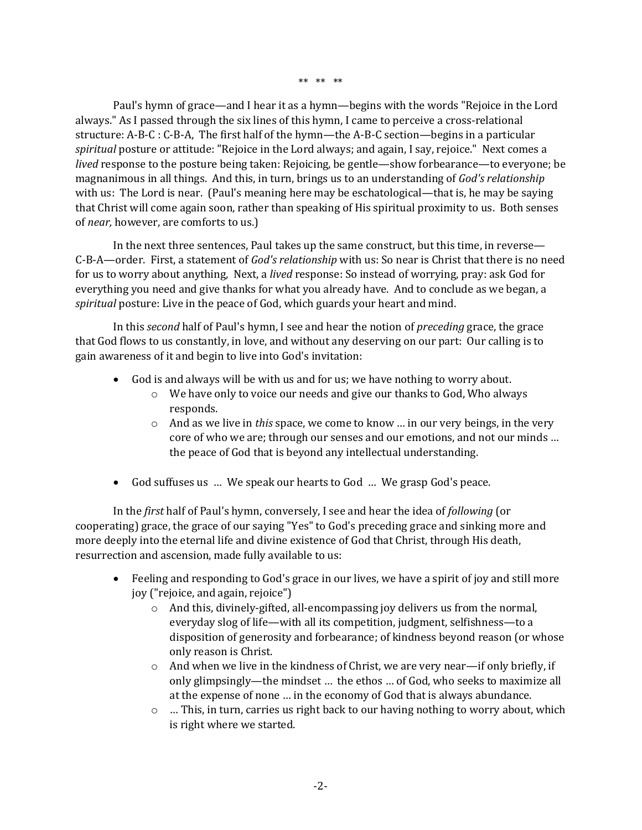\*\* \*\* \*\*

Paul's hymn of grace—and I hear it as a hymn—begins with the words "Rejoice in the Lord always." As I passed through the six lines of this hymn, I came to perceive a cross-relational structure: A-B-C : C-B-A, The first half of the hymn—the A-B-C section—begins in a particular *spiritual* posture or attitude: "Rejoice in the Lord always; and again, I say, rejoice." Next comes a *lived* response to the posture being taken: Rejoicing, be gentle—show forbearance—to everyone; be magnanimous in all things. And this, in turn, brings us to an understanding of *God's relationship* with us: The Lord is near. (Paul's meaning here may be eschatological—that is, he may be saying that Christ will come again soon, rather than speaking of His spiritual proximity to us. Both senses of *near,* however, are comforts to us.)

In the next three sentences, Paul takes up the same construct, but this time, in reverse— C-B-A—order. First, a statement of *God's relationship* with us: So near is Christ that there is no need for us to worry about anything, Next, a *lived* response: So instead of worrying, pray: ask God for everything you need and give thanks for what you already have. And to conclude as we began, a *spiritual* posture: Live in the peace of God, which guards your heart and mind.

In this *second* half of Paul's hymn, I see and hear the notion of *preceding* grace, the grace that God flows to us constantly, in love, and without any deserving on our part: Our calling is to gain awareness of it and begin to live into God's invitation:

- God is and always will be with us and for us; we have nothing to worry about.
	- o We have only to voice our needs and give our thanks to God, Who always responds.
	- o And as we live in *this* space, we come to know … in our very beings, in the very core of who we are; through our senses and our emotions, and not our minds … the peace of God that is beyond any intellectual understanding.
- God suffuses us … We speak our hearts to God … We grasp God's peace.

In the *first* half of Paul's hymn, conversely, I see and hear the idea of *following* (or cooperating) grace, the grace of our saying "Yes" to God's preceding grace and sinking more and more deeply into the eternal life and divine existence of God that Christ, through His death, resurrection and ascension, made fully available to us:

- Feeling and responding to God's grace in our lives, we have a spirit of joy and still more joy ("rejoice, and again, rejoice")
	- o And this, divinely-gifted, all-encompassing joy delivers us from the normal, everyday slog of life—with all its competition, judgment, selfishness—to a disposition of generosity and forbearance; of kindness beyond reason (or whose only reason is Christ.
	- $\circ$  And when we live in the kindness of Christ, we are very near—if only briefly, if only glimpsingly—the mindset … the ethos … of God, who seeks to maximize all at the expense of none … in the economy of God that is always abundance.
	- $\circ$  ... This, in turn, carries us right back to our having nothing to worry about, which is right where we started.